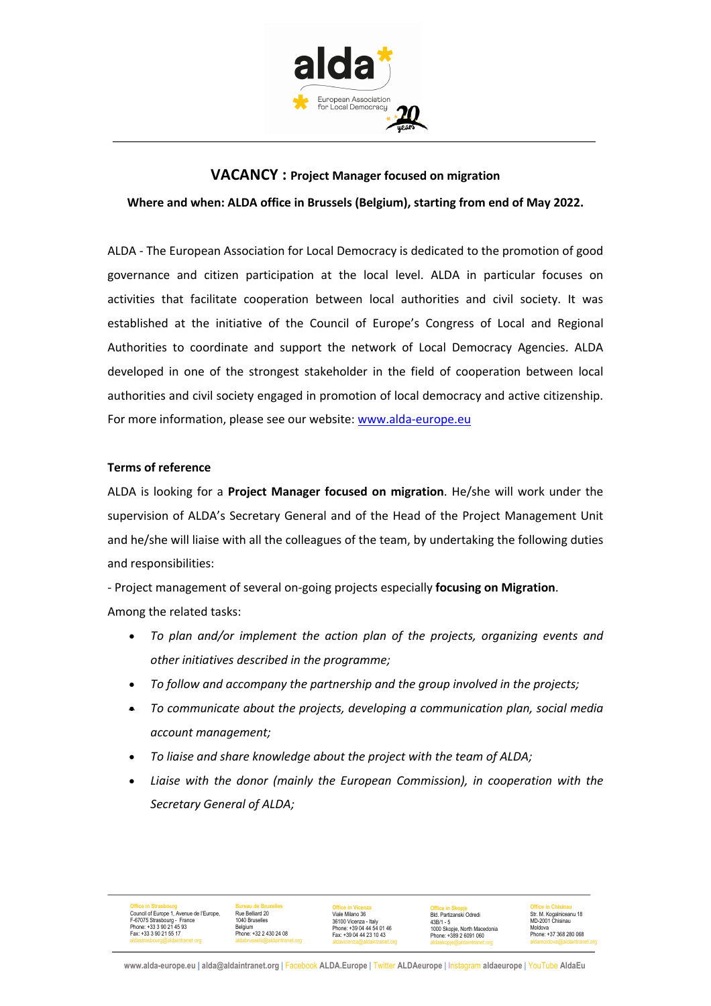

# **VACANCY : Project Manager focused on migration Where and when: ALDA office in Brussels (Belgium), starting from end of May 2022.**

ALDA - The European Association for Local Democracy is dedicated to the promotion of good governance and citizen participation at the local level. ALDA in particular focuses on activities that facilitate cooperation between local authorities and civil society. It was established at the initiative of the Council of Europe's Congress of Local and Regional Authorities to coordinate and support the network of Local Democracy Agencies. ALDA developed in one of the strongest stakeholder in the field of cooperation between local authorities and civil society engaged in promotion of local democracy and active citizenship. For more information, please see our website: www.alda-europe.eu

## **Terms of reference**

ALDA is looking for a **Project Manager focused on migration**. He/she will work under the supervision of ALDA's Secretary General and of the Head of the Project Management Unit and he/she will liaise with all the colleagues of the team, by undertaking the following duties and responsibilities:

- Project management of several on-going projects especially **focusing on Migration**. Among the related tasks:

- *To plan and/or implement the action plan of the projects, organizing events and other initiatives described in the programme;*
- *To follow and accompany the partnership and the group involved in the projects;*
- *To communicate about the projects, developing a communication plan, social media account management;*
- *To liaise and share knowledge about the project with the team of ALDA;*
- *Liaise with the donor (mainly the European Commission), in cooperation with the Secretary General of ALDA;*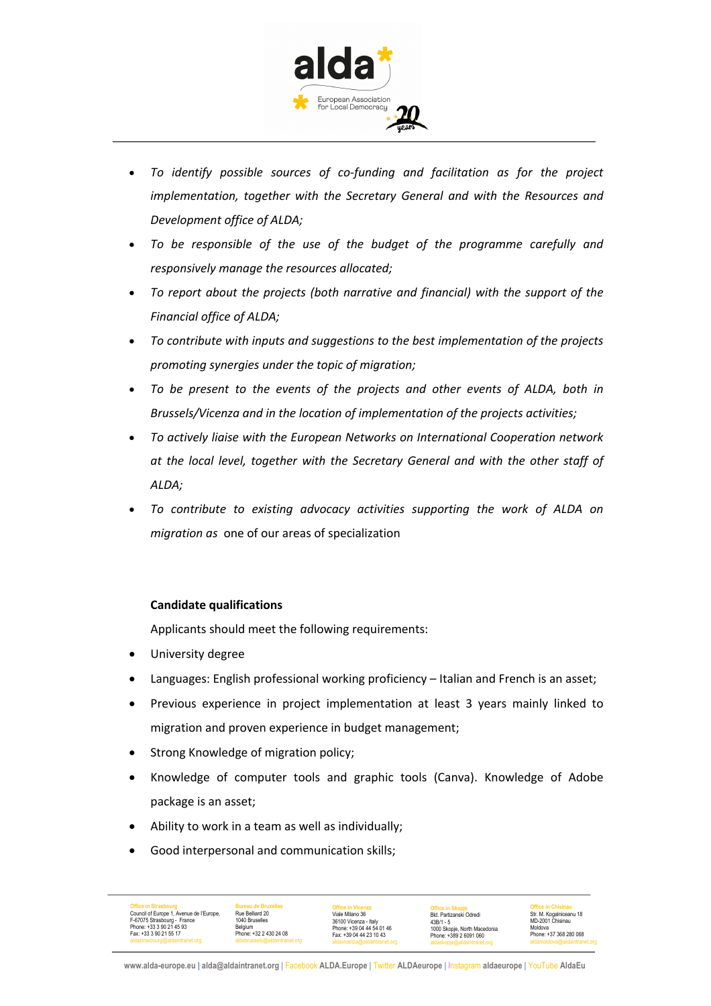

- *To identify possible sources of co-funding and facilitation as for the project implementation, together with the Secretary General and with the Resources and Development office of ALDA;*
- *To be responsible of the use of the budget of the programme carefully and responsively manage the resources allocated;*
- *To report about the projects (both narrative and financial) with the support of the Financial office of ALDA;*
- *To contribute with inputs and suggestions to the best implementation of the projects promoting synergies under the topic of migration;*
- *To be present to the events of the projects and other events of ALDA, both in Brussels/Vicenza and in the location of implementation of the projects activities;*
- *To actively liaise with the European Networks on International Cooperation network at the local level, together with the Secretary General and with the other staff of ALDA;*
- *To contribute to existing advocacy activities supporting the work of ALDA on migration as* one of our areas of specialization

## **Candidate qualifications**

Applicants should meet the following requirements:

- University degree
- Languages: English professional working proficiency Italian and French is an asset;
- Previous experience in project implementation at least 3 years mainly linked to migration and proven experience in budget management;
- Strong Knowledge of migration policy;
- Knowledge of computer tools and graphic tools (Canva). Knowledge of Adobe package is an asset;
- Ability to work in a team as well as individually;
- Good interpersonal and communication skills;

| <b>Office in Strasbourg</b>              | <b>Bureau de Bruxelles</b>    | <b>Office in Vicenza</b>     | <b>Office in Skopje</b>      | <b>Office in Chisinau</b>    |
|------------------------------------------|-------------------------------|------------------------------|------------------------------|------------------------------|
| Council of Europe 1, Avenue de l'Europe, | Rue Belliard 20               | Viale Milano 36              | Bld, Partizanski Odredi      | Str. M. Kogalniceanu 18      |
| F-67075 Strasbourg - France              | 1040 Bruselles                | 36100 Vicenza - Italv        | $43B/1 - 5$                  | MD-2001 Chisinau             |
| Phone: +33 3 90 21 45 93                 | Belaium                       | Phone: +39 04 44 54 01 46    | 1000 Skopje, North Macedonia | Moldova                      |
| Fax: +33 3 90 21 55 17                   | Phone: +32 2 430 24 08        | Fax: +39 04 44 23 10 43      | Phone: +389 2 6091 060       | Phone: +37 368 280 068       |
| aldastrasbourg@aldaintranet.org          | aldabrussels@aldaintranet.org | aldavicenza@aldaintranet.org | aldaskopje@aldaintranet.org  | aldamoldova@aldaintranet.org |